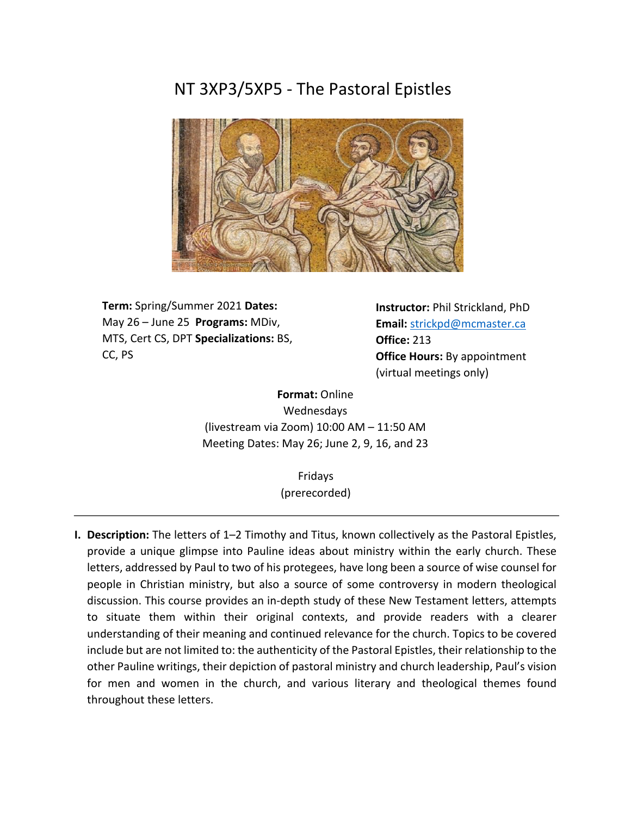# NT 3XP3/5XP5 - The Pastoral Epistles



**Term:** Spring/Summer 2021 **Dates:** May 26 – June 25 **Programs:** MDiv, MTS, Cert CS, DPT **Specializations:** BS, CC, PS

 **Office:** 213 **Instructor:** Phil Strickland, PhD **Email:** strickpd@mcmaster.ca **Office Hours:** By appointment (virtual meetings only)

**Format:** Online Wednesdays (livestream via Zoom) 10:00 AM – 11:50 AM Meeting Dates: May 26; June 2, 9, 16, and 23

> Fridays (prerecorded)

**I. Description:** The letters of 1–2 Timothy and Titus, known collectively as the Pastoral Epistles, provide a unique glimpse into Pauline ideas about ministry within the early church. These letters, addressed by Paul to two of his protegees, have long been a source of wise counsel for people in Christian ministry, but also a source of some controversy in modern theological discussion. This course provides an in-depth study of these New Testament letters, attempts to situate them within their original contexts, and provide readers with a clearer understanding of their meaning and continued relevance for the church. Topics to be covered include but are not limited to: the authenticity of the Pastoral Epistles, their relationship to the other Pauline writings, their depiction of pastoral ministry and church leadership, Paul's vision for men and women in the church, and various literary and theological themes found throughout these letters.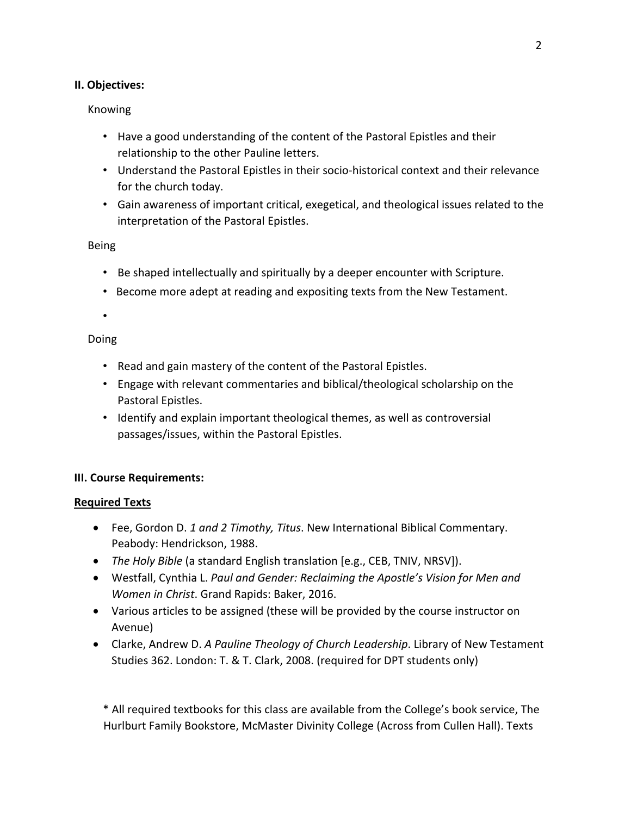# **II. Objectives:**

# Knowing

- Have a good understanding of the content of the Pastoral Epistles and their relationship to the other Pauline letters.
- Understand the Pastoral Epistles in their socio-historical context and their relevance for the church today.
- Gain awareness of important critical, exegetical, and theological issues related to the interpretation of the Pastoral Epistles.

# Being

- Be shaped intellectually and spiritually by a deeper encounter with Scripture.
- Become more adept at reading and expositing texts from the New Testament.

•

# Doing

- Read and gain mastery of the content of the Pastoral Epistles.
- Engage with relevant commentaries and biblical/theological scholarship on the Pastoral Epistles.
- Identify and explain important theological themes, as well as controversial passages/issues, within the Pastoral Epistles.

# **III. Course Requirements:**

# **Required Texts**

- Fee, Gordon D. *1 and 2 Timothy, Titus*. New International Biblical Commentary. Peabody: Hendrickson, 1988.
- *The Holy Bible* (a standard English translation [e.g., CEB, TNIV, NRSV]).
- Westfall, Cynthia L. *Paul and Gender: Reclaiming the Apostle's Vision for Men and Women in Christ*. Grand Rapids: Baker, 2016.
- Various articles to be assigned (these will be provided by the course instructor on Avenue)
- Clarke, Andrew D. *A Pauline Theology of Church Leadership*. Library of New Testament Studies 362. London: T. & T. Clark, 2008. (required for DPT students only)

\* All required textbooks for this class are available from the College's book service, The Hurlburt Family Bookstore, McMaster Divinity College (Across from Cullen Hall). Texts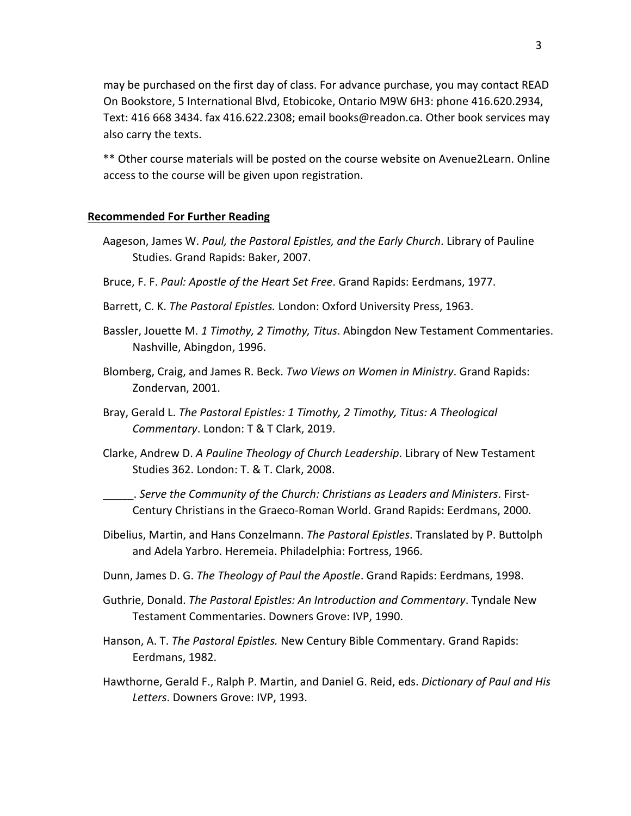may be purchased on the first day of class. For advance purchase, you may contact READ On Bookstore, 5 International Blvd, Etobicoke, Ontario M9W 6H3: phone 416.620.2934, Text: 416 668 3434. fax 416.622.2308; email books@readon.ca. Other book services may also carry the texts.

\*\* Other course materials will be posted on the course website on Avenue2Learn. Online access to the course will be given upon registration.

#### **Recommended For Further Reading**

- Aageson, James W. *Paul, the Pastoral Epistles, and the Early Church*. Library of Pauline Studies. Grand Rapids: Baker, 2007.
- Bruce, F. F. *Paul: Apostle of the Heart Set Free*. Grand Rapids: Eerdmans, 1977.
- Barrett, C. K. *The Pastoral Epistles.* London: Oxford University Press, 1963.
- Bassler, Jouette M. *1 Timothy, 2 Timothy, Titus*. Abingdon New Testament Commentaries. Nashville, Abingdon, 1996.
- Blomberg, Craig, and James R. Beck. *Two Views on Women in Ministry*. Grand Rapids: Zondervan, 2001.
- Bray, Gerald L. *The Pastoral Epistles: 1 Timothy, 2 Timothy, Titus: A Theological Commentary*. London: T & T Clark, 2019.
- Clarke, Andrew D. *A Pauline Theology of Church Leadership*. Library of New Testament Studies 362. London: T. & T. Clark, 2008.

\_\_\_\_\_. *Serve the Community of the Church: Christians as Leaders and Ministers*. First-Century Christians in the Graeco-Roman World. Grand Rapids: Eerdmans, 2000.

- Dibelius, Martin, and Hans Conzelmann. *The Pastoral Epistles*. Translated by P. Buttolph and Adela Yarbro. Heremeia. Philadelphia: Fortress, 1966.
- Dunn, James D. G. *The Theology of Paul the Apostle*. Grand Rapids: Eerdmans, 1998.
- Guthrie, Donald. *The Pastoral Epistles: An Introduction and Commentary*. Tyndale New Testament Commentaries. Downers Grove: IVP, 1990.
- Hanson, A. T. *The Pastoral Epistles.* New Century Bible Commentary. Grand Rapids: Eerdmans, 1982.
- Hawthorne, Gerald F., Ralph P. Martin, and Daniel G. Reid, eds. *Dictionary of Paul and His Letters*. Downers Grove: IVP, 1993.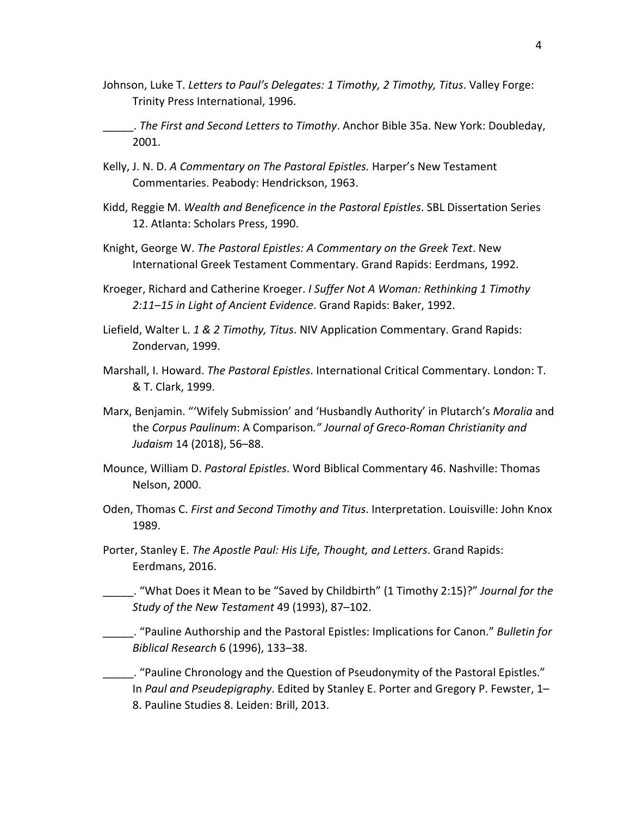- Johnson, Luke T. *Letters to Paul's Delegates: 1 Timothy, 2 Timothy, Titus*. Valley Forge: Trinity Press International, 1996.
- \_\_\_\_\_. *The First and Second Letters to Timothy*. Anchor Bible 35a. New York: Doubleday, 2001.
- Kelly, J. N. D. *A Commentary on The Pastoral Epistles.* Harper's New Testament Commentaries. Peabody: Hendrickson, 1963.
- Kidd, Reggie M. *Wealth and Beneficence in the Pastoral Epistles*. SBL Dissertation Series 12. Atlanta: Scholars Press, 1990.
- Knight, George W. *The Pastoral Epistles: A Commentary on the Greek Text*. New International Greek Testament Commentary. Grand Rapids: Eerdmans, 1992.
- Kroeger, Richard and Catherine Kroeger. *I Suffer Not A Woman: Rethinking 1 Timothy 2:11*–*15 in Light of Ancient Evidence*. Grand Rapids: Baker, 1992.
- Liefield, Walter L. *1 & 2 Timothy, Titus*. NIV Application Commentary. Grand Rapids: Zondervan, 1999.
- Marshall, I. Howard. *The Pastoral Epistles*. International Critical Commentary. London: T. & T. Clark, 1999.
- Marx, Benjamin. "'Wifely Submission' and 'Husbandly Authority' in Plutarch's *Moralia* and the *Corpus Paulinum*: A Comparison*." Journal of Greco-Roman Christianity and Judaism* 14 (2018), 56–88.
- Mounce, William D. *Pastoral Epistles*. Word Biblical Commentary 46. Nashville: Thomas Nelson, 2000.
- Oden, Thomas C. *First and Second Timothy and Titus*. Interpretation. Louisville: John Knox 1989.
- Porter, Stanley E. *The Apostle Paul: His Life, Thought, and Letters*. Grand Rapids: Eerdmans, 2016.

\_\_\_\_\_. "What Does it Mean to be "Saved by Childbirth" (1 Timothy 2:15)?" *Journal for the Study of the New Testament* 49 (1993), 87–102.

\_\_\_\_\_. "Pauline Authorship and the Pastoral Epistles: Implications for Canon." *Bulletin for Biblical Research* 6 (1996), 133–38.

\_\_\_\_\_. "Pauline Chronology and the Question of Pseudonymity of the Pastoral Epistles." In *Paul and Pseudepigraphy*. Edited by Stanley E. Porter and Gregory P. Fewster, 1– 8. Pauline Studies 8. Leiden: Brill, 2013.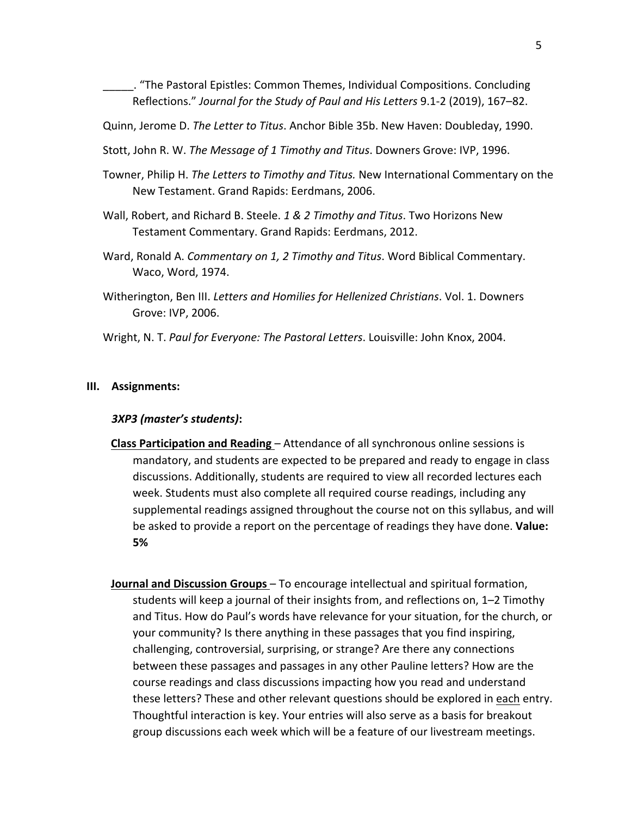\_\_\_\_\_. "The Pastoral Epistles: Common Themes, Individual Compositions. Concluding Reflections." *Journal for the Study of Paul and His Letters* 9.1-2 (2019), 167–82.

Quinn, Jerome D. *The Letter to Titus*. Anchor Bible 35b. New Haven: Doubleday, 1990.

- Stott, John R. W. *The Message of 1 Timothy and Titus*. Downers Grove: IVP, 1996.
- Towner, Philip H. *The Letters to Timothy and Titus.* New International Commentary on the New Testament. Grand Rapids: Eerdmans, 2006.
- Wall, Robert, and Richard B. Steele. *1 & 2 Timothy and Titus*. Two Horizons New Testament Commentary. Grand Rapids: Eerdmans, 2012.
- Ward, Ronald A. *Commentary on 1, 2 Timothy and Titus*. Word Biblical Commentary. Waco, Word, 1974.
- Witherington, Ben III. *Letters and Homilies for Hellenized Christians*. Vol. 1. Downers Grove: IVP, 2006.
- Wright, N. T. *Paul for Everyone: The Pastoral Letters*. Louisville: John Knox, 2004.

#### **III. Assignments:**

#### *3XP3 (master's students)***:**

- **Class Participation and Reading**  Attendance of all synchronous online sessions is mandatory, and students are expected to be prepared and ready to engage in class discussions. Additionally, students are required to view all recorded lectures each week. Students must also complete all required course readings, including any supplemental readings assigned throughout the course not on this syllabus, and will be asked to provide a report on the percentage of readings they have done. **Value: 5%**
- **Journal and Discussion Groups** To encourage intellectual and spiritual formation, students will keep a journal of their insights from, and reflections on, 1–2 Timothy and Titus. How do Paul's words have relevance for your situation, for the church, or your community? Is there anything in these passages that you find inspiring, challenging, controversial, surprising, or strange? Are there any connections between these passages and passages in any other Pauline letters? How are the course readings and class discussions impacting how you read and understand these letters? These and other relevant questions should be explored in each entry. Thoughtful interaction is key. Your entries will also serve as a basis for breakout group discussions each week which will be a feature of our livestream meetings.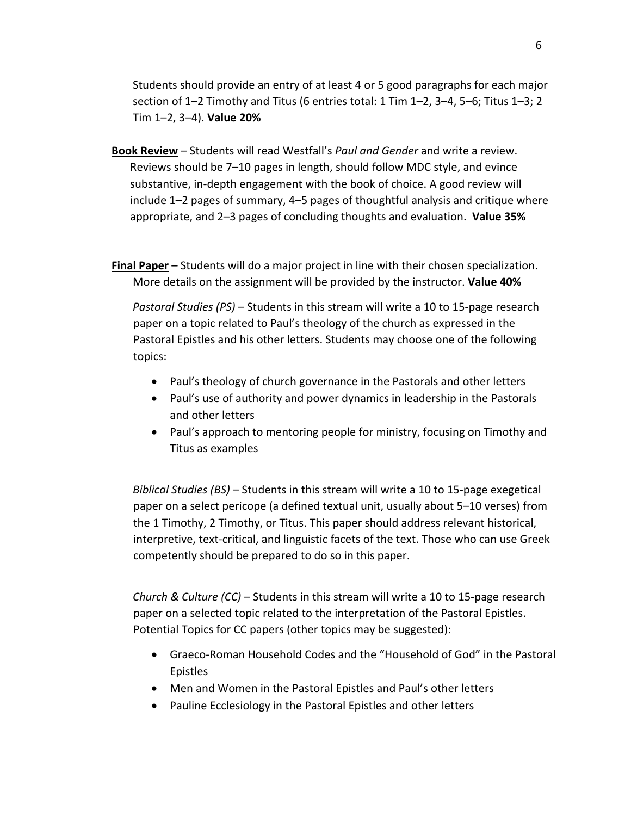Students should provide an entry of at least 4 or 5 good paragraphs for each major section of 1–2 Timothy and Titus (6 entries total: 1 Tim 1–2, 3–4, 5–6; Titus 1–3; 2 Tim 1–2, 3–4). **Value 20%**

- **Book Review** Students will read Westfall's *Paul and Gender* and write a review. Reviews should be 7–10 pages in length, should follow MDC style, and evince substantive, in-depth engagement with the book of choice. A good review will include 1–2 pages of summary, 4–5 pages of thoughtful analysis and critique where appropriate, and 2–3 pages of concluding thoughts and evaluation. **Value 35%**
- **Final Paper** Students will do a major project in line with their chosen specialization. More details on the assignment will be provided by the instructor. **Value 40%**

*Pastoral Studies (PS)* – Students in this stream will write a 10 to 15-page research paper on a topic related to Paul's theology of the church as expressed in the Pastoral Epistles and his other letters. Students may choose one of the following topics:

- Paul's theology of church governance in the Pastorals and other letters
- Paul's use of authority and power dynamics in leadership in the Pastorals and other letters
- Paul's approach to mentoring people for ministry, focusing on Timothy and Titus as examples

*Biblical Studies (BS)* – Students in this stream will write a 10 to 15-page exegetical paper on a select pericope (a defined textual unit, usually about 5–10 verses) from the 1 Timothy, 2 Timothy, or Titus. This paper should address relevant historical, interpretive, text-critical, and linguistic facets of the text. Those who can use Greek competently should be prepared to do so in this paper.

*Church & Culture (CC)* – Students in this stream will write a 10 to 15-page research paper on a selected topic related to the interpretation of the Pastoral Epistles. Potential Topics for CC papers (other topics may be suggested):

- Graeco-Roman Household Codes and the "Household of God" in the Pastoral Epistles
- Men and Women in the Pastoral Epistles and Paul's other letters
- Pauline Ecclesiology in the Pastoral Epistles and other letters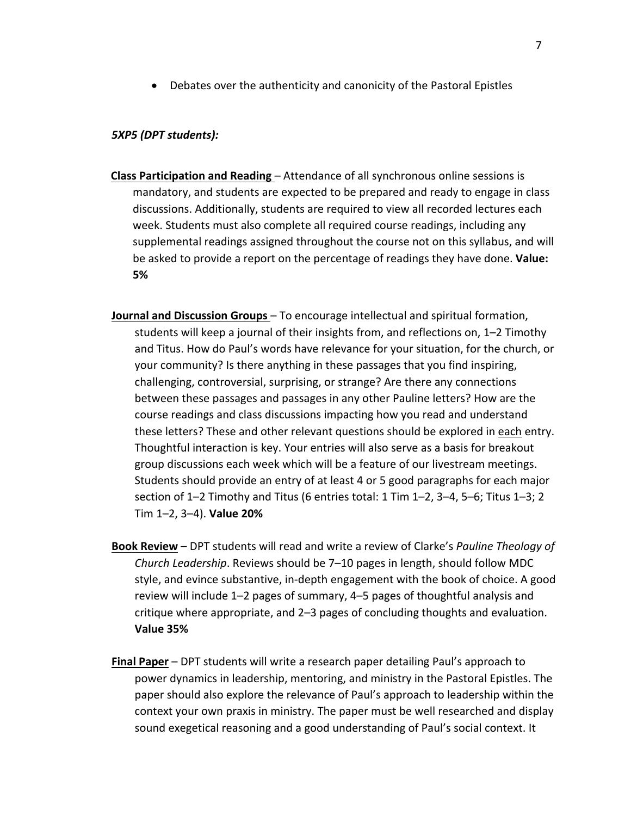• Debates over the authenticity and canonicity of the Pastoral Epistles

#### *5XP5 (DPT students):*

- **Class Participation and Reading**  Attendance of all synchronous online sessions is mandatory, and students are expected to be prepared and ready to engage in class discussions. Additionally, students are required to view all recorded lectures each week. Students must also complete all required course readings, including any supplemental readings assigned throughout the course not on this syllabus, and will be asked to provide a report on the percentage of readings they have done. **Value: 5%**
- **Journal and Discussion Groups**  To encourage intellectual and spiritual formation, students will keep a journal of their insights from, and reflections on, 1–2 Timothy and Titus. How do Paul's words have relevance for your situation, for the church, or your community? Is there anything in these passages that you find inspiring, challenging, controversial, surprising, or strange? Are there any connections between these passages and passages in any other Pauline letters? How are the course readings and class discussions impacting how you read and understand these letters? These and other relevant questions should be explored in each entry. Thoughtful interaction is key. Your entries will also serve as a basis for breakout group discussions each week which will be a feature of our livestream meetings. Students should provide an entry of at least 4 or 5 good paragraphs for each major section of 1–2 Timothy and Titus (6 entries total: 1 Tim 1–2, 3–4, 5–6; Titus 1–3; 2 Tim 1–2, 3–4). **Value 20%**
- **Book Review** DPT students will read and write a review of Clarke's *Pauline Theology of Church Leadership*. Reviews should be 7–10 pages in length, should follow MDC style, and evince substantive, in-depth engagement with the book of choice. A good review will include 1–2 pages of summary, 4–5 pages of thoughtful analysis and critique where appropriate, and 2–3 pages of concluding thoughts and evaluation. **Value 35%**
- **Final Paper** DPT students will write a research paper detailing Paul's approach to power dynamics in leadership, mentoring, and ministry in the Pastoral Epistles. The paper should also explore the relevance of Paul's approach to leadership within the context your own praxis in ministry. The paper must be well researched and display sound exegetical reasoning and a good understanding of Paul's social context. It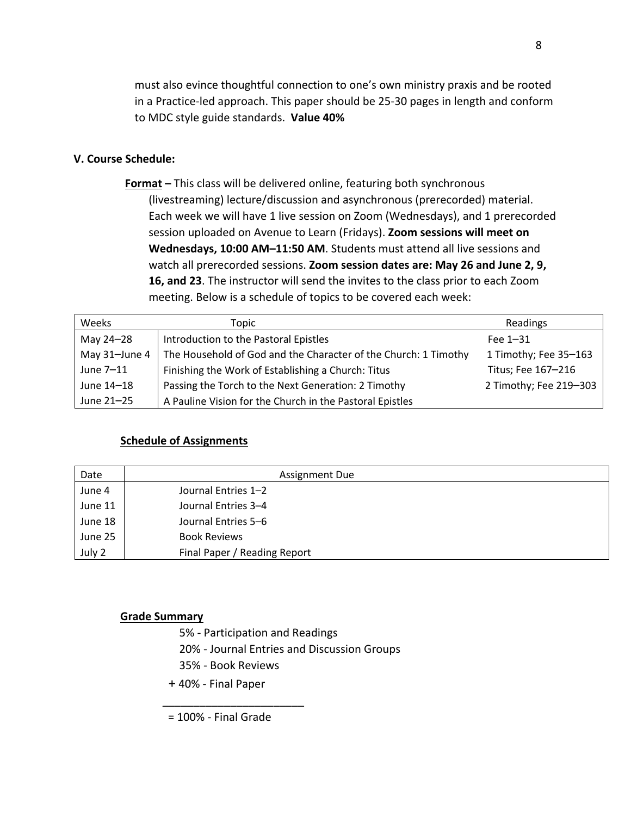must also evince thoughtful connection to one's own ministry praxis and be rooted in a Practice-led approach. This paper should be 25-30 pages in length and conform to MDC style guide standards. **Value 40%** 

## **V. Course Schedule:**

 **Format –** This class will be delivered online, featuring both synchronous (livestreaming) lecture/discussion and asynchronous (prerecorded) material. Each week we will have 1 live session on Zoom (Wednesdays), and 1 prerecorded session uploaded on Avenue to Learn (Fridays). **Zoom sessions will meet on Wednesdays, 10:00 AM–11:50 AM**. Students must attend all live sessions and watch all prerecorded sessions. **Zoom session dates are: May 26 and June 2, 9, 16, and 23**. The instructor will send the invites to the class prior to each Zoom meeting. Below is a schedule of topics to be covered each week:

| Weeks         | Topic                                                           | Readings               |
|---------------|-----------------------------------------------------------------|------------------------|
| May 24-28     | Introduction to the Pastoral Epistles                           | Fee $1-31$             |
| May 31-June 4 | The Household of God and the Character of the Church: 1 Timothy | 1 Timothy; Fee 35-163  |
| June 7-11     | Finishing the Work of Establishing a Church: Titus              | Titus; Fee 167-216     |
| June 14-18    | Passing the Torch to the Next Generation: 2 Timothy             | 2 Timothy; Fee 219-303 |
| June 21-25    | A Pauline Vision for the Church in the Pastoral Epistles        |                        |

## **Schedule of Assignments**

| Date    | <b>Assignment Due</b>        |
|---------|------------------------------|
| June 4  | Journal Entries 1-2          |
| June 11 | Journal Entries 3-4          |
| June 18 | Journal Entries 5-6          |
| June 25 | <b>Book Reviews</b>          |
| July 2  | Final Paper / Reading Report |

#### **Grade Summary**

- 5% Participation and Readings
- 20% Journal Entries and Discussion Groups
- 35% Book Reviews

\_\_\_\_\_\_\_\_\_\_\_\_\_\_\_\_\_\_\_\_\_\_\_

+ 40% - Final Paper

= 100% - Final Grade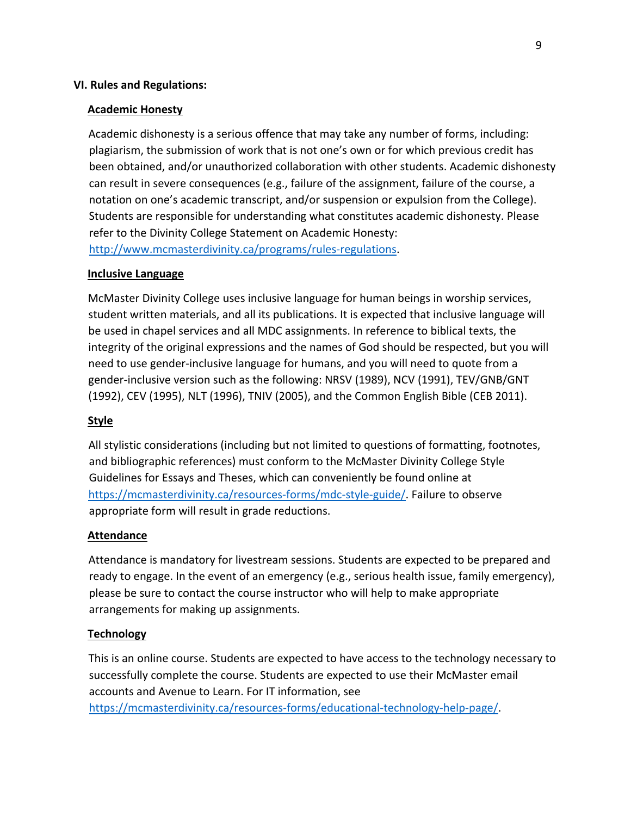## **VI. Rules and Regulations:**

#### **Academic Honesty**

Academic dishonesty is a serious offence that may take any number of forms, including: plagiarism, the submission of work that is not one's own or for which previous credit has been obtained, and/or unauthorized collaboration with other students. Academic dishonesty can result in severe consequences (e.g., failure of the assignment, failure of the course, a notation on one's academic transcript, and/or suspension or expulsion from the College). Students are responsible for understanding what constitutes academic dishonesty. Please refer to the Divinity College Statement on Academic Honesty: http://www.mcmasterdivinity.ca/programs/rules-regulations.

#### **Inclusive Language**

McMaster Divinity College uses inclusive language for human beings in worship services, student written materials, and all its publications. It is expected that inclusive language will be used in chapel services and all MDC assignments. In reference to biblical texts, the integrity of the original expressions and the names of God should be respected, but you will need to use gender-inclusive language for humans, and you will need to quote from a gender-inclusive version such as the following: NRSV (1989), NCV (1991), TEV/GNB/GNT (1992), CEV (1995), NLT (1996), TNIV (2005), and the Common English Bible (CEB 2011).

#### **Style**

All stylistic considerations (including but not limited to questions of formatting, footnotes, and bibliographic references) must conform to the McMaster Divinity College Style Guidelines for Essays and Theses, which can conveniently be found online at https://mcmasterdivinity.ca/resources-forms/mdc-style-guide/. Failure to observe appropriate form will result in grade reductions.

#### **Attendance**

Attendance is mandatory for livestream sessions. Students are expected to be prepared and ready to engage. In the event of an emergency (e.g., serious health issue, family emergency), please be sure to contact the course instructor who will help to make appropriate arrangements for making up assignments.

## **Technology**

This is an online course. Students are expected to have access to the technology necessary to successfully complete the course. Students are expected to use their McMaster email accounts and Avenue to Learn. For IT information, see https://mcmasterdivinity.ca/resources-forms/educational-technology-help-page/.